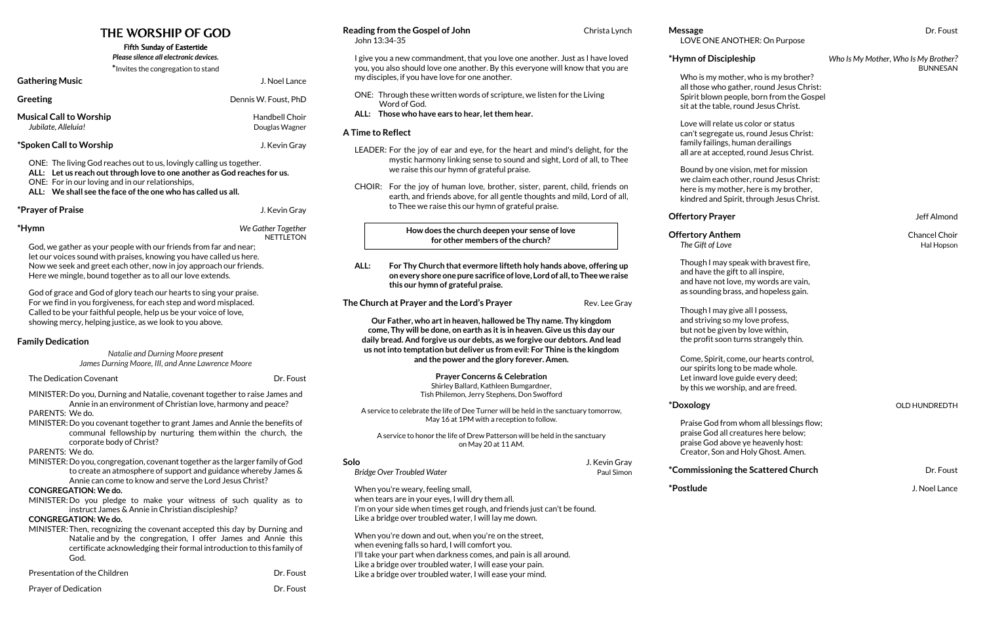## THE WORSHIP OF GOD

*Please silence all electronic devices.* **\***Invites the congregation to stand

| <b>Gathering Music</b>                                | J. Noel Lance                    |
|-------------------------------------------------------|----------------------------------|
| Greeting                                              | Dennis W. Foust, PhD             |
| <b>Musical Call to Worship</b><br>Jubilate, Alleluia! | Handbell Choir<br>Douglas Wagner |
| *Spoken Call to Worship                               | J. Kevin Gray                    |

ONE: The living God reaches out to us, lovingly calling us together.

**ALL: Let us reach out through love to one another as God reaches for us.**

ONE: For in our loving and in our relationships,

**ALL: We shall see the face of the one who has called us all.**

#### **\*Prayer of Praise** J. Kevin Gray

**\*Hymn** *We Gather Together* NETTLETON

God, we gather as your people with our friends from far and near; let our voices sound with praises, knowing you have called us here. Now we seek and greet each other, now in joy approach our friends. Here we mingle, bound together as to all our love extends.

MINISTER: Do you covenant together to grant James and Annie the benefits of communal fellowship by nurturing them within the church, the corporate body of Christ?

God of grace and God of glory teach our hearts to sing your praise. For we find in you forgiveness, for each step and word misplaced. Called to be your faithful people, help us be your voice of love, showing mercy, helping justice, as we look to you above.

#### **Family Dedication**

*Natalie and Durning Moore present James Durning Moore, III, and Anne Lawrence Moore*

The Dedication Covenant **Dr. Foust** Dr. Foust

MINISTER:Do you, Durning and Natalie, covenant together to raise James and Annie in an environment of Christian love, harmony and peace?

PARENTS: We do.

### PARENTS: We do.

MINISTER:Do you, congregation, covenant together as the larger family of God to create an atmosphere of support and guidance whereby James & Annie can come to know and serve the Lord Jesus Christ?

### **CONGREGATION: We do.**

MINISTER:Do you pledge to make your witness of such quality as to instruct James & Annie in Christian discipleship?

### **CONGREGATION: We do.**

MINISTER: Then, recognizing the covenant accepted this day by Durning and Natalie and by the congregation, I offer James and Annie this certificate acknowledging their formal introduction to this family of God.

Presentation of the Children Dr. Foust

Prayer of Dedication **Dr. Foust** 

### **Reading from the Gospel of John** Christa Lynch

John 13:34-35

#### I give you a new commandment, that you love one another. Just as I have loved you, you also should love one another. By this everyone will know that you are my disciples, if you have love for one another.

ONE: Through these written words of scripture, we listen for the Living Word of God.

**ALL: Those who have ears to hear, let them hear.** 

#### **A Time to Reflect**

- LEADER: For the joy of ear and eye, for the heart and mind's delight, for the mystic harmony linking sense to sound and sight, Lord of all, to Thee we raise this our hymn of grateful praise.
- CHOIR: For the joy of human love, brother, sister, parent, child, friends on earth, and friends above, for all gentle thoughts and mild, Lord of all, to Thee we raise this our hymn of grateful praise.

**ALL: For Thy Church that evermore lifteth holy hands above, offering up onevery shoreonepure sacrifice of love, Lord of all, to Theewe raise this our hymn of grateful praise.**

**The Church at Prayer and the Lord's Prayer** Mexicles Rev. Lee Gray

**Our Father, who art in heaven, hallowed be Thy name. Thy kingdom come, Thy will be done, on earth as it is in heaven. Give us this day our daily bread. And forgive us our debts, as we forgive our debtors. And lead us not into temptation but deliver us from evil: For Thine is the kingdom and the power and the glory forever. Amen.**

> **Prayer Concerns & Celebration** Shirley Ballard, Kathleen Bumgardner, Tish Philemon, Jerry Stephens, Don Swofford

A service to celebrate the life of Dee Turner will be held in the sanctuary tomorrow, May 16 at 1PM with a reception to follow.

A service to honor the life of Drew Patterson will be held in the sanctuary on May 20 at 11 AM.

### **Solo** J. Kevin Gray

**Bridge Over Troubled Water Paul Simon** 

When you're weary, feeling small,

when tears are in your eyes, I will dry them all. I'm on your side when times get rough, and friends just can't be found. Like a bridge over troubled water, I will lay me down.

When you're down and out, when you're on the street, when evening falls so hard, I will comfort you. I'll take your part when darkness comes, and pain is all around. Like a bridge over troubled water, I will ease your pain. Like a bridge over troubled water, I will ease your mind.

## **Message Dr. Foust**

#### LOVE ONE ANOTHER: On Purpose

**\*Hymn of Discipleship** *Who Is My Mother, Who Is My Brother?* BUNNESAN

Who is my mother, who is my brother? all those who gather, round Jesus Christ: Spirit blown people, born from the Gospel sit at the table, round Jesus Christ.

Love will relate us color or status can't segregate us, round Jesus Christ: family failings, human derailings all are at accepted, round Jesus Christ.

Bound by one vision, met for mission we claim each other, round Jesus Christ: here is my mother, here is my brother, kindred and Spirit, through Jesus Christ.

### **Offertory Prayer Contract Almond Jeff Almond**

#### **Offertory Anthem** Chancel Choir **Chancel Choir Chancel Choir Chancel Choir The Gift of Love Hal Hopson**

Though I may speak with bravest fire, and have the gift to all inspire, and have not love, my words are vain, as sounding brass, and hopeless gain.

Though I may give all I possess, and striving so my love profess, but not be given by love within, the profit soon turns strangely thin.

Come, Spirit, come, our hearts control, our spirits long to be made whole. Let inward love guide every deed; by this we worship, and are freed.

#### **\*Doxology** OLD HUNDREDTH

Praise God from whom all blessings flow; praise God all creatures here below; praise God above ye heavenly host: Creator, Son and Holy Ghost. Amen.

### **\*Commissioning the Scattered Church** department of the Dr. Foust

**\*Postlude** J. Noel Lance

**How does the church deepen your sense of love for other members of the church?**